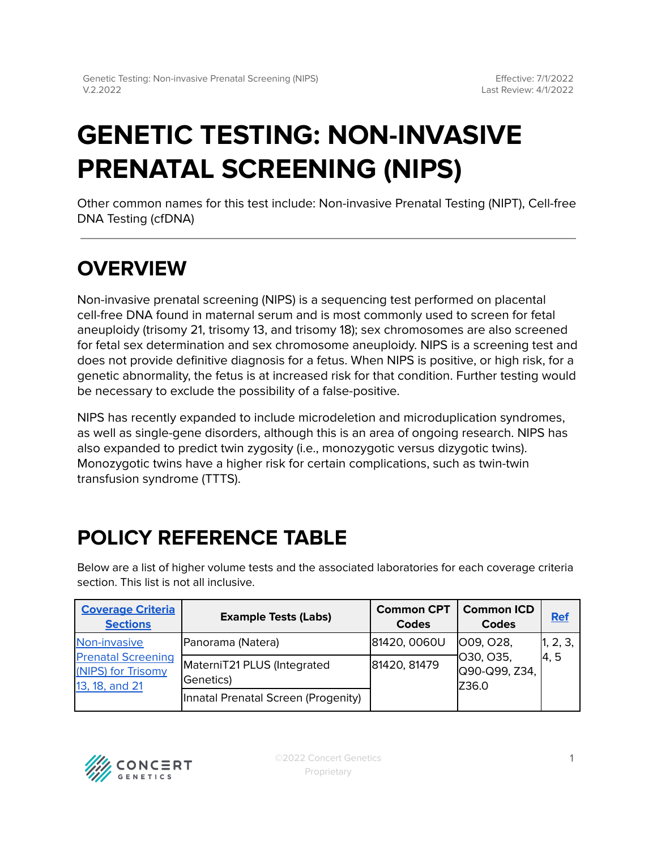# **GENETIC TESTING: NON-INVASIVE PRENATAL SCREENING (NIPS)**

Other common names for this test include: Non-invasive Prenatal Testing (NIPT), Cell-free DNA Testing (cfDNA)

# **OVERVIEW**

Non-invasive prenatal screening (NIPS) is a sequencing test performed on placental cell-free DNA found in maternal serum and is most commonly used to screen for fetal aneuploidy (trisomy 21, trisomy 13, and trisomy 18); sex chromosomes are also screened for fetal sex determination and sex chromosome aneuploidy. NIPS is a screening test and does not provide definitive diagnosis for a fetus. When NIPS is positive, or high risk, for a genetic abnormality, the fetus is at increased risk for that condition. Further testing would be necessary to exclude the possibility of a false-positive.

NIPS has recently expanded to include microdeletion and microduplication syndromes, as well as single-gene disorders, although this is an area of ongoing research. NIPS has also expanded to predict twin zygosity (i.e., monozygotic versus dizygotic twins). Monozygotic twins have a higher risk for certain complications, such as twin-twin transfusion syndrome (TTTS).

# <span id="page-0-0"></span>**POLICY REFERENCE TABLE**

Below are a list of higher volume tests and the associated laboratories for each coverage criteria section. This list is not all inclusive.

| <b>Coverage Criteria</b><br><b>Sections</b>                                       | <b>Example Tests (Labs)</b>              | <b>Common CPT</b><br><b>Codes</b> | <b>Common ICD</b><br><b>Codes</b>                        | <b>Ref</b>                     |
|-----------------------------------------------------------------------------------|------------------------------------------|-----------------------------------|----------------------------------------------------------|--------------------------------|
| Non-invasive<br><b>Prenatal Screening</b><br>(NIPS) for Trisomy<br>13, 18, and 21 | Panorama (Natera)                        | 81420, 0060U                      | <b>009, 028,</b><br>1030, 035,<br>Q90-Q99, Z34,<br>Z36.0 | 1, 2, 3,<br>$\vert 4, 5 \vert$ |
|                                                                                   | MaterniT21 PLUS (Integrated<br>Genetics) | 81420, 81479                      |                                                          |                                |
|                                                                                   | Innatal Prenatal Screen (Progenity)      |                                   |                                                          |                                |

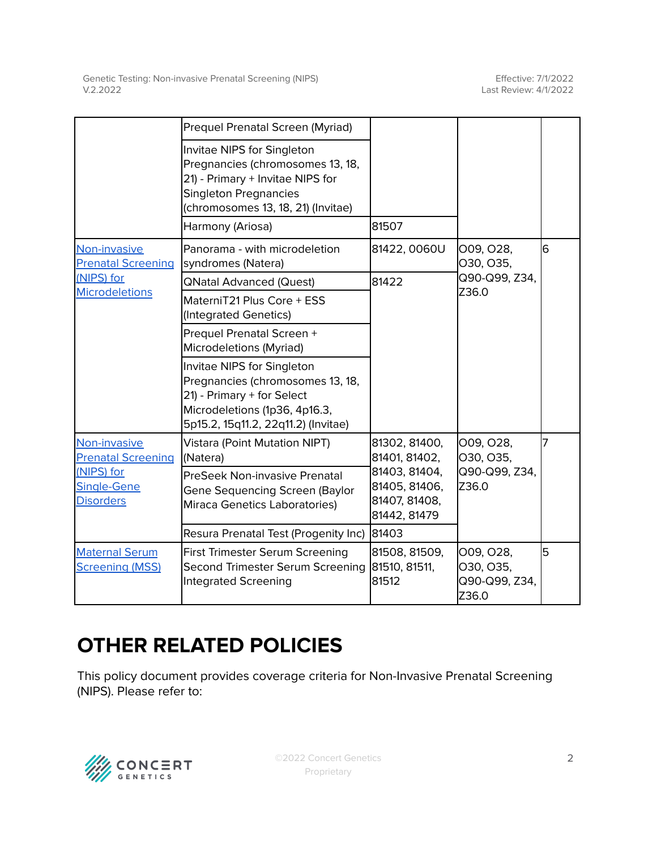|                                                                                            | Prequel Prenatal Screen (Myriad)                                                                                                                                         |                                                                                                   |                                                  |    |
|--------------------------------------------------------------------------------------------|--------------------------------------------------------------------------------------------------------------------------------------------------------------------------|---------------------------------------------------------------------------------------------------|--------------------------------------------------|----|
|                                                                                            | Invitae NIPS for Singleton<br>Pregnancies (chromosomes 13, 18,<br>21) - Primary + Invitae NIPS for<br><b>Singleton Pregnancies</b><br>(chromosomes 13, 18, 21) (Invitae) |                                                                                                   |                                                  |    |
|                                                                                            | Harmony (Ariosa)                                                                                                                                                         | 81507                                                                                             |                                                  |    |
| Non-invasive<br><b>Prenatal Screening</b><br>(NIPS) for<br><b>Microdeletions</b>           | Panorama - with microdeletion<br>syndromes (Natera)                                                                                                                      | 81422, 0060U                                                                                      | 009, 028,<br>O30, O35,<br>Q90-Q99, Z34,<br>Z36.0 | 6  |
|                                                                                            | <b>QNatal Advanced (Quest)</b>                                                                                                                                           | 81422                                                                                             |                                                  |    |
|                                                                                            | MaterniT21 Plus Core + ESS<br>(Integrated Genetics)                                                                                                                      |                                                                                                   |                                                  |    |
|                                                                                            | Prequel Prenatal Screen +<br>Microdeletions (Myriad)                                                                                                                     |                                                                                                   |                                                  |    |
|                                                                                            | Invitae NIPS for Singleton<br>Pregnancies (chromosomes 13, 18,<br>21) - Primary + for Select<br>Microdeletions (1p36, 4p16.3,<br>5p15.2, 15q11.2, 22q11.2) (Invitae)     |                                                                                                   |                                                  |    |
| Non-invasive<br><b>Prenatal Screening</b><br>(NIPS) for<br>Single-Gene<br><b>Disorders</b> | Vistara (Point Mutation NIPT)<br>(Natera)                                                                                                                                | 81302, 81400,<br>81401, 81402,<br>81403, 81404,<br>81405, 81406,<br>81407, 81408,<br>81442, 81479 | O09, O28,<br>O30, O35,<br>Q90-Q99, Z34,<br>Z36.0 | 17 |
|                                                                                            | PreSeek Non-invasive Prenatal<br>Gene Sequencing Screen (Baylor<br>Miraca Genetics Laboratories)                                                                         |                                                                                                   |                                                  |    |
|                                                                                            | Resura Prenatal Test (Progenity Inc)                                                                                                                                     | 81403                                                                                             |                                                  |    |
| <b>Maternal Serum</b><br><b>Screening (MSS)</b>                                            | <b>First Trimester Serum Screening</b><br>Second Trimester Serum Screening<br>Integrated Screening                                                                       | 81508, 81509,<br>81510, 81511,<br>81512                                                           | O09, O28,<br>030, 035,<br>Q90-Q99, Z34,<br>Z36.0 | 5  |

## **OTHER RELATED POLICIES**

This policy document provides coverage criteria for Non-Invasive Prenatal Screening (NIPS). Please refer to:

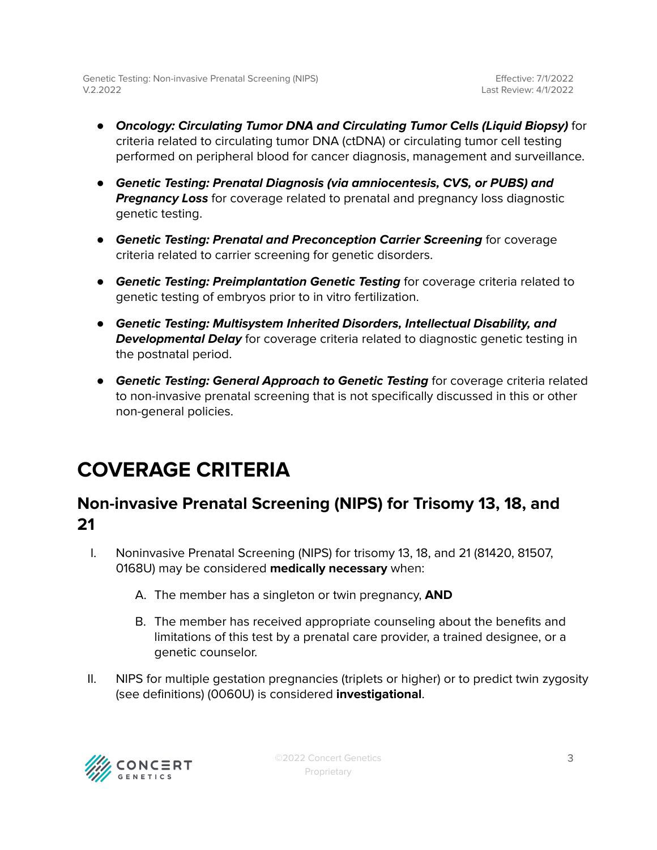- **Oncology: Circulating Tumor DNA and Circulating Tumor Cells (Liquid Biopsy)** for criteria related to circulating tumor DNA (ctDNA) or circulating tumor cell testing performed on peripheral blood for cancer diagnosis, management and surveillance.
- **Genetic Testing: Prenatal Diagnosis (via amniocentesis, CVS, or PUBS) and Pregnancy Loss** for coverage related to prenatal and pregnancy loss diagnostic genetic testing.
- **Genetic Testing: Prenatal and Preconception Carrier Screening** for coverage criteria related to carrier screening for genetic disorders.
- **Genetic Testing: Preimplantation Genetic Testing** for coverage criteria related to genetic testing of embryos prior to in vitro fertilization.
- **Genetic Testing: Multisystem Inherited Disorders, Intellectual Disability, and Developmental Delay** for coverage criteria related to diagnostic genetic testing in the postnatal period.
- **Genetic Testing: General Approach to Genetic Testing** for coverage criteria related to non-invasive prenatal screening that is not specifically discussed in this or other non-general policies.

## <span id="page-2-0"></span>**COVERAGE CRITERIA**

### <span id="page-2-1"></span>**Non-invasive Prenatal Screening (NIPS) for Trisomy 13, 18, and 21**

- I. Noninvasive Prenatal Screening (NIPS) for trisomy 13, 18, and 21 (81420, 81507, 0168U) may be considered **medically necessary** when:
	- A. The member has a singleton or twin pregnancy, **AND**
	- B. The member has received appropriate counseling about the benefits and limitations of this test by a prenatal care provider, a trained designee, or a genetic counselor.
- II. NIPS for multiple gestation pregnancies (triplets or higher) or to predict twin zygosity (see definitions) (0060U) is considered **investigational**.

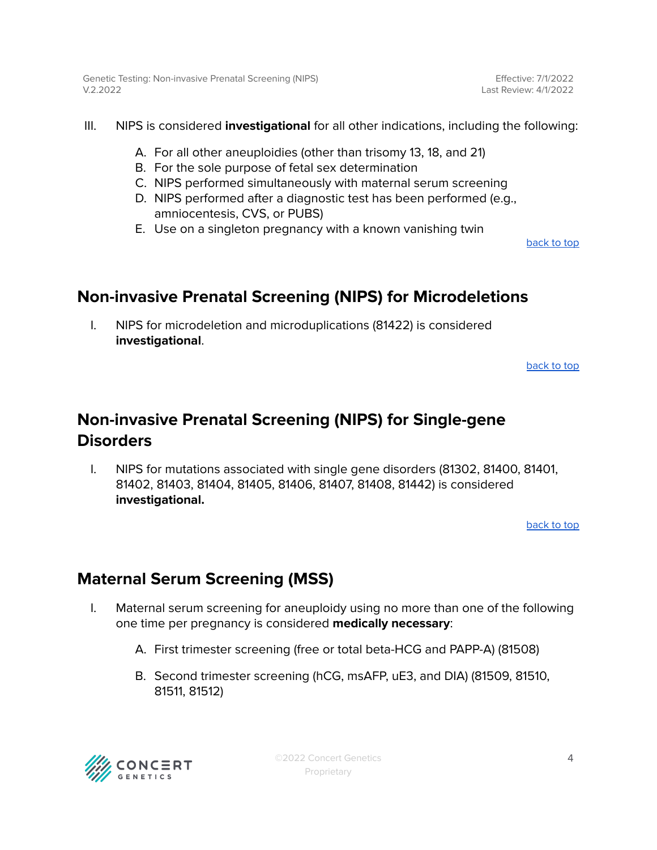Effective: 7/1/2022 Last Review: 4/1/2022

- III. NIPS is considered **investigational** for all other indications, including the following:
	- A. For all other aneuploidies (other than trisomy 13, 18, and 21)
	- B. For the sole purpose of fetal sex determination
	- C. NIPS performed simultaneously with maternal serum screening
	- D. NIPS performed after a diagnostic test has been performed (e.g., amniocentesis, CVS, or PUBS)
	- E. Use on a singleton pregnancy with a known vanishing twin

[back](#page-0-0) to top

### <span id="page-3-0"></span>**Non-invasive Prenatal Screening (NIPS) for Microdeletions**

I. NIPS for microdeletion and microduplications (81422) is considered **investigational**.

[back](#page-0-0) to top

### <span id="page-3-1"></span>**Non-invasive Prenatal Screening (NIPS) for Single-gene Disorders**

I. NIPS for mutations associated with single gene disorders (81302, 81400, 81401, 81402, 81403, 81404, 81405, 81406, 81407, 81408, 81442) is considered **investigational.**

[back](#page-0-0) to top

### <span id="page-3-2"></span>**Maternal Serum Screening (MSS)**

- I. Maternal serum screening for aneuploidy using no more than one of the following one time per pregnancy is considered **medically necessary**:
	- A. First trimester screening (free or total beta-HCG and PAPP-A) (81508)
	- B. Second trimester screening (hCG, msAFP, uE3, and DIA) (81509, 81510, 81511, 81512)

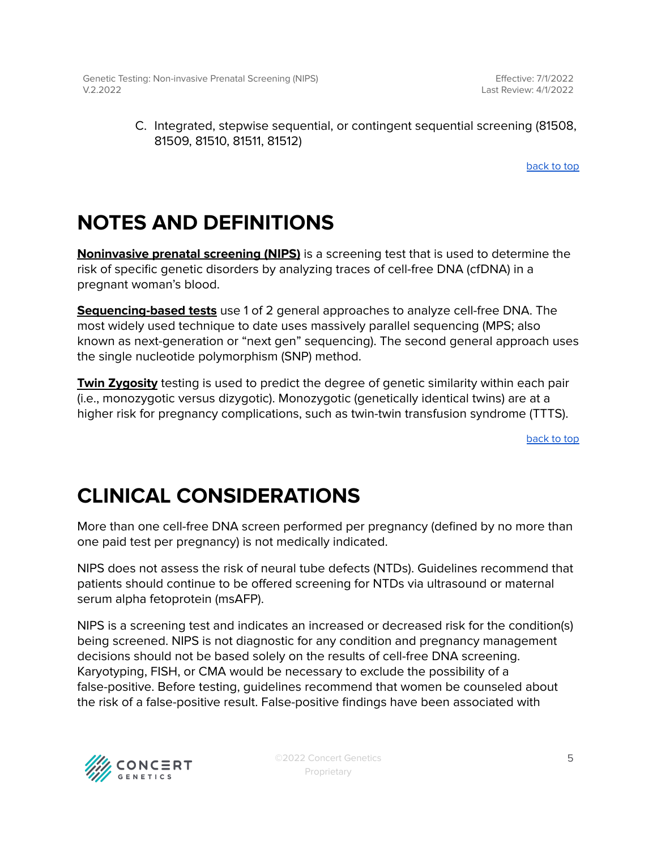Effective: 7/1/2022 Last Review: 4/1/2022

#### C. Integrated, stepwise sequential, or contingent sequential screening (81508, 81509, 81510, 81511, 81512)

[back](#page-0-0) to top

### **NOTES AND DEFINITIONS**

**Noninvasive prenatal screening (NIPS)** is a screening test that is used to determine the risk of specific genetic disorders by analyzing traces of cell-free DNA (cfDNA) in a pregnant woman's blood.

**Sequencing-based tests** use 1 of 2 general approaches to analyze cell-free DNA. The most widely used technique to date uses massively parallel sequencing (MPS; also known as next-generation or "next gen" sequencing). The second general approach uses the single nucleotide polymorphism (SNP) method.

**Twin Zygosity** testing is used to predict the degree of genetic similarity within each pair (i.e., monozygotic versus dizygotic). Monozygotic (genetically identical twins) are at a higher risk for pregnancy complications, such as twin-twin transfusion syndrome (TTTS).

[back](#page-0-0) to top

## **CLINICAL CONSIDERATIONS**

More than one cell-free DNA screen performed per pregnancy (defined by no more than one paid test per pregnancy) is not medically indicated.

NIPS does not assess the risk of neural tube defects (NTDs). Guidelines recommend that patients should continue to be offered screening for NTDs via ultrasound or maternal serum alpha fetoprotein (msAFP).

NIPS is a screening test and indicates an increased or decreased risk for the condition(s) being screened. NIPS is not diagnostic for any condition and pregnancy management decisions should not be based solely on the results of cell-free DNA screening. Karyotyping, FISH, or CMA would be necessary to exclude the possibility of a false-positive. Before testing, guidelines recommend that women be counseled about the risk of a false-positive result. False-positive findings have been associated with

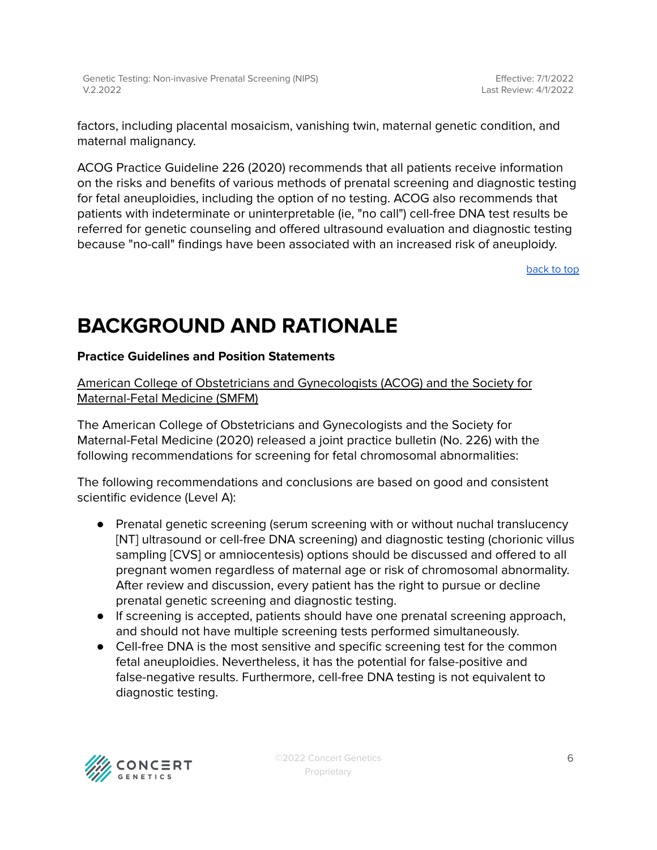factors, including placental mosaicism, vanishing twin, maternal genetic condition, and maternal malignancy.

ACOG Practice Guideline 226 (2020) recommends that all patients receive information on the risks and benefits of various methods of prenatal screening and diagnostic testing for fetal aneuploidies, including the option of no testing. ACOG also recommends that patients with indeterminate or uninterpretable (ie, "no call") cell-free DNA test results be referred for genetic counseling and offered ultrasound evaluation and diagnostic testing because "no-call" findings have been associated with an increased risk of aneuploidy.

[back](#page-0-0) to top

# **BACKGROUND AND RATIONALE**

#### **Practice Guidelines and Position Statements**

American College of Obstetricians and Gynecologists (ACOG) and the Society for Maternal-Fetal Medicine (SMFM)

The American College of Obstetricians and Gynecologists and the Society for Maternal-Fetal Medicine (2020) released a joint practice bulletin (No. 226) with the following recommendations for screening for fetal chromosomal abnormalities:

The following recommendations and conclusions are based on good and consistent scientific evidence (Level A):

- Prenatal genetic screening (serum screening with or without nuchal translucency [NT] ultrasound or cell-free DNA screening) and diagnostic testing (chorionic villus sampling [CVS] or amniocentesis) options should be discussed and offered to all pregnant women regardless of maternal age or risk of chromosomal abnormality. After review and discussion, every patient has the right to pursue or decline prenatal genetic screening and diagnostic testing.
- If screening is accepted, patients should have one prenatal screening approach, and should not have multiple screening tests performed simultaneously.
- Cell-free DNA is the most sensitive and specific screening test for the common fetal aneuploidies. Nevertheless, it has the potential for false-positive and false-negative results. Furthermore, cell-free DNA testing is not equivalent to diagnostic testing.

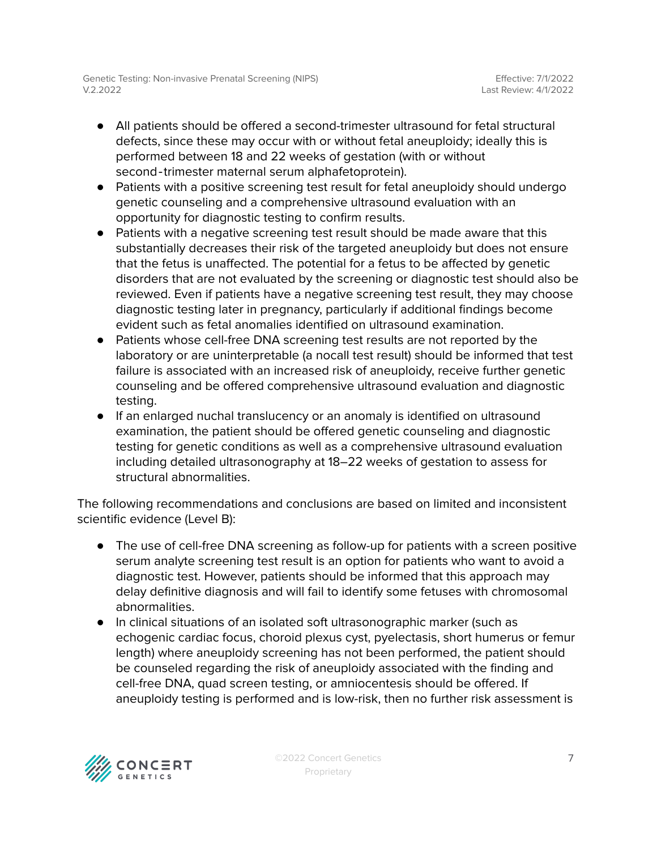- All patients should be offered a second-trimester ultrasound for fetal structural defects, since these may occur with or without fetal aneuploidy; ideally this is performed between 18 and 22 weeks of gestation (with or without second-trimester maternal serum alphafetoprotein).
- Patients with a positive screening test result for fetal aneuploidy should undergo genetic counseling and a comprehensive ultrasound evaluation with an opportunity for diagnostic testing to confirm results.
- Patients with a negative screening test result should be made aware that this substantially decreases their risk of the targeted aneuploidy but does not ensure that the fetus is unaffected. The potential for a fetus to be affected by genetic disorders that are not evaluated by the screening or diagnostic test should also be reviewed. Even if patients have a negative screening test result, they may choose diagnostic testing later in pregnancy, particularly if additional findings become evident such as fetal anomalies identified on ultrasound examination.
- Patients whose cell-free DNA screening test results are not reported by the laboratory or are uninterpretable (a nocall test result) should be informed that test failure is associated with an increased risk of aneuploidy, receive further genetic counseling and be offered comprehensive ultrasound evaluation and diagnostic testing.
- If an enlarged nuchal translucency or an anomaly is identified on ultrasound examination, the patient should be offered genetic counseling and diagnostic testing for genetic conditions as well as a comprehensive ultrasound evaluation including detailed ultrasonography at 18–22 weeks of gestation to assess for structural abnormalities.

The following recommendations and conclusions are based on limited and inconsistent scientific evidence (Level B):

- The use of cell-free DNA screening as follow-up for patients with a screen positive serum analyte screening test result is an option for patients who want to avoid a diagnostic test. However, patients should be informed that this approach may delay definitive diagnosis and will fail to identify some fetuses with chromosomal abnormalities.
- In clinical situations of an isolated soft ultrasonographic marker (such as echogenic cardiac focus, choroid plexus cyst, pyelectasis, short humerus or femur length) where aneuploidy screening has not been performed, the patient should be counseled regarding the risk of aneuploidy associated with the finding and cell-free DNA, quad screen testing, or amniocentesis should be offered. If aneuploidy testing is performed and is low-risk, then no further risk assessment is

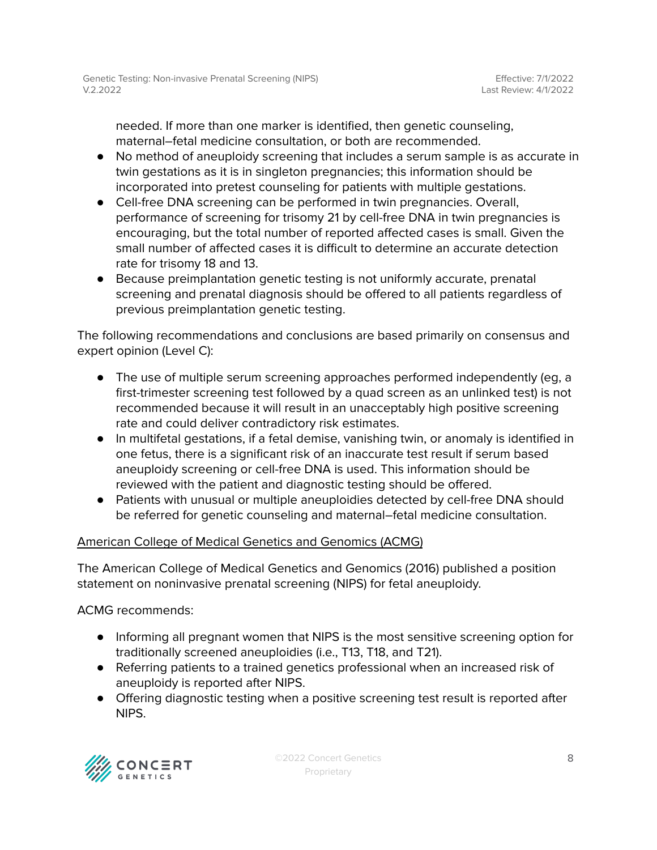needed. If more than one marker is identified, then genetic counseling, maternal–fetal medicine consultation, or both are recommended.

- No method of aneuploidy screening that includes a serum sample is as accurate in twin gestations as it is in singleton pregnancies; this information should be incorporated into pretest counseling for patients with multiple gestations.
- Cell-free DNA screening can be performed in twin pregnancies. Overall, performance of screening for trisomy 21 by cell-free DNA in twin pregnancies is encouraging, but the total number of reported affected cases is small. Given the small number of affected cases it is difficult to determine an accurate detection rate for trisomy 18 and 13.
- Because preimplantation genetic testing is not uniformly accurate, prenatal screening and prenatal diagnosis should be offered to all patients regardless of previous preimplantation genetic testing.

The following recommendations and conclusions are based primarily on consensus and expert opinion (Level C):

- The use of multiple serum screening approaches performed independently (eg, a first-trimester screening test followed by a quad screen as an unlinked test) is not recommended because it will result in an unacceptably high positive screening rate and could deliver contradictory risk estimates.
- In multifetal gestations, if a fetal demise, vanishing twin, or anomaly is identified in one fetus, there is a significant risk of an inaccurate test result if serum based aneuploidy screening or cell-free DNA is used. This information should be reviewed with the patient and diagnostic testing should be offered.
- Patients with unusual or multiple aneuploidies detected by cell-free DNA should be referred for genetic counseling and maternal–fetal medicine consultation.

#### American College of Medical Genetics and Genomics (ACMG)

The American College of Medical Genetics and Genomics (2016) published a position statement on noninvasive prenatal screening (NIPS) for fetal aneuploidy.

ACMG recommends:

- Informing all pregnant women that NIPS is the most sensitive screening option for traditionally screened aneuploidies (i.e., T13, T18, and T21).
- Referring patients to a trained genetics professional when an increased risk of aneuploidy is reported after NIPS.
- Offering diagnostic testing when a positive screening test result is reported after NIPS.

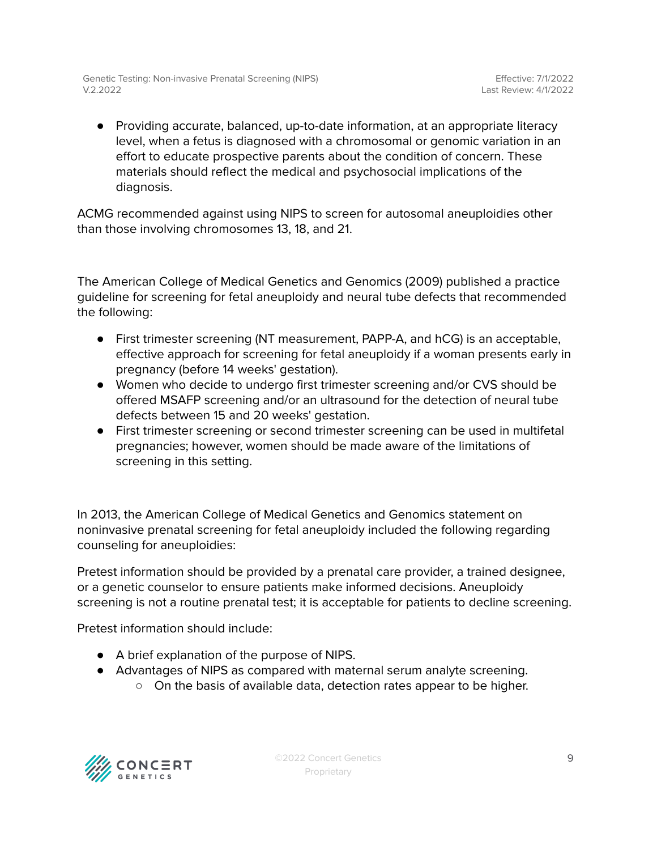● Providing accurate, balanced, up-to-date information, at an appropriate literacy level, when a fetus is diagnosed with a chromosomal or genomic variation in an effort to educate prospective parents about the condition of concern. These materials should reflect the medical and psychosocial implications of the diagnosis.

ACMG recommended against using NIPS to screen for autosomal aneuploidies other than those involving chromosomes 13, 18, and 21.

The American College of Medical Genetics and Genomics (2009) published a practice guideline for screening for fetal aneuploidy and neural tube defects that recommended the following:

- First trimester screening (NT measurement, PAPP-A, and hCG) is an acceptable, effective approach for screening for fetal aneuploidy if a woman presents early in pregnancy (before 14 weeks' gestation).
- Women who decide to undergo first trimester screening and/or CVS should be offered MSAFP screening and/or an ultrasound for the detection of neural tube defects between 15 and 20 weeks' gestation.
- First trimester screening or second trimester screening can be used in multifetal pregnancies; however, women should be made aware of the limitations of screening in this setting.

In 2013, the American College of Medical Genetics and Genomics statement on noninvasive prenatal screening for fetal aneuploidy included the following regarding counseling for aneuploidies:

Pretest information should be provided by a prenatal care provider, a trained designee, or a genetic counselor to ensure patients make informed decisions. Aneuploidy screening is not a routine prenatal test; it is acceptable for patients to decline screening.

Pretest information should include:

- A brief explanation of the purpose of NIPS.
- Advantages of NIPS as compared with maternal serum analyte screening.
	- On the basis of available data, detection rates appear to be higher.

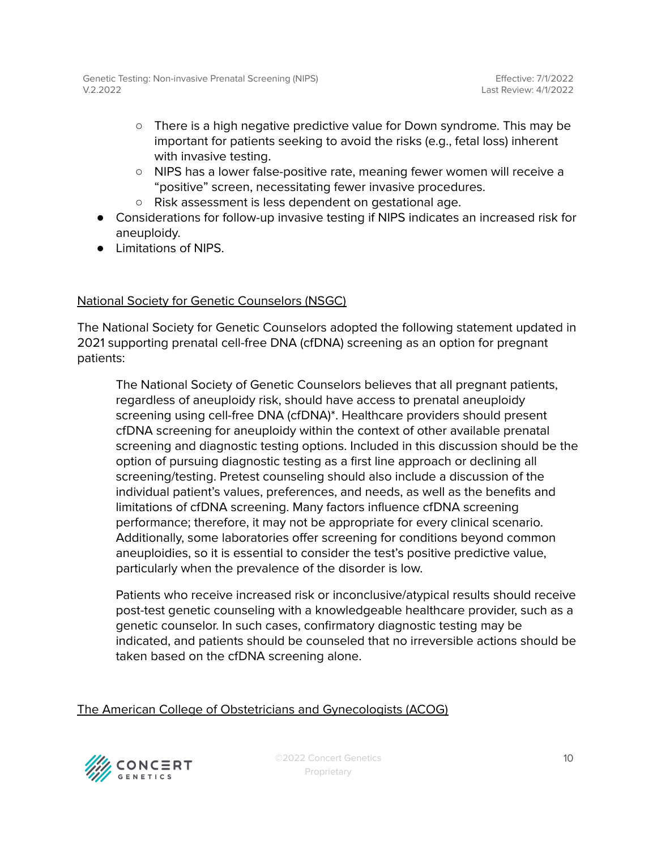- There is a high negative predictive value for Down syndrome. This may be important for patients seeking to avoid the risks (e.g., fetal loss) inherent with invasive testing.
- NIPS has a lower false-positive rate, meaning fewer women will receive a "positive" screen, necessitating fewer invasive procedures.
- Risk assessment is less dependent on gestational age.
- Considerations for follow-up invasive testing if NIPS indicates an increased risk for aneuploidy.
- Limitations of NIPS.

#### National Society for Genetic Counselors (NSGC)

The National Society for Genetic Counselors adopted the following statement updated in 2021 supporting prenatal cell-free DNA (cfDNA) screening as an option for pregnant patients:

The National Society of Genetic Counselors believes that all pregnant patients, regardless of aneuploidy risk, should have access to prenatal aneuploidy screening using cell-free DNA (cfDNA)\*. Healthcare providers should present cfDNA screening for aneuploidy within the context of other available prenatal screening and diagnostic testing options. Included in this discussion should be the option of pursuing diagnostic testing as a first line approach or declining all screening/testing. Pretest counseling should also include a discussion of the individual patient's values, preferences, and needs, as well as the benefits and limitations of cfDNA screening. Many factors influence cfDNA screening performance; therefore, it may not be appropriate for every clinical scenario. Additionally, some laboratories offer screening for conditions beyond common aneuploidies, so it is essential to consider the test's positive predictive value, particularly when the prevalence of the disorder is low.

Patients who receive increased risk or inconclusive/atypical results should receive post-test genetic counseling with a knowledgeable healthcare provider, such as a genetic counselor. In such cases, confirmatory diagnostic testing may be indicated, and patients should be counseled that no irreversible actions should be taken based on the cfDNA screening alone.

#### The American College of Obstetricians and Gynecologists (ACOG)

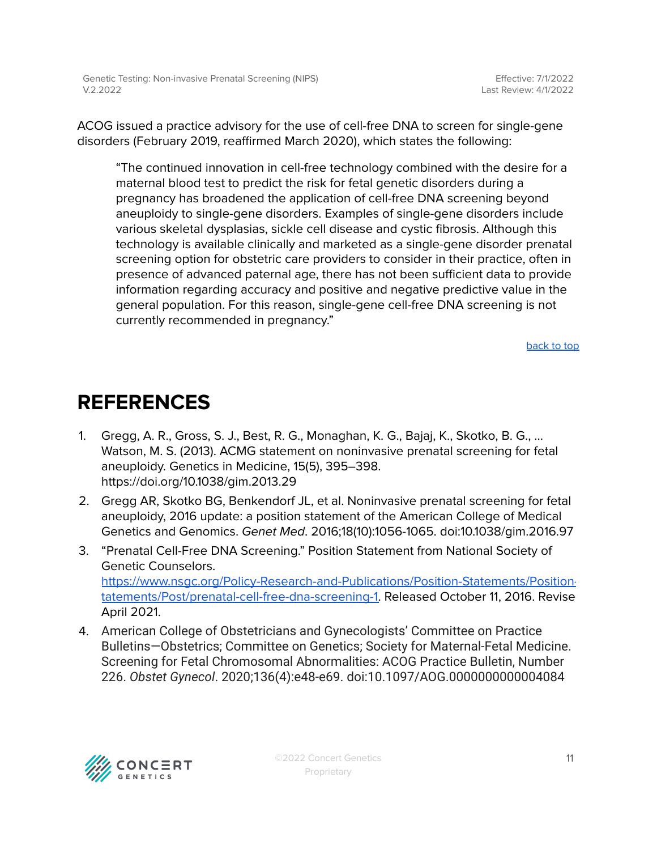ACOG issued a practice advisory for the use of cell-free DNA to screen for single-gene disorders (February 2019, reaffirmed March 2020), which states the following:

"The continued innovation in cell-free technology combined with the desire for a maternal blood test to predict the risk for fetal genetic disorders during a pregnancy has broadened the application of cell-free DNA screening beyond aneuploidy to single-gene disorders. Examples of single-gene disorders include various skeletal dysplasias, sickle cell disease and cystic fibrosis. Although this technology is available clinically and marketed as a single-gene disorder prenatal screening option for obstetric care providers to consider in their practice, often in presence of advanced paternal age, there has not been sufficient data to provide information regarding accuracy and positive and negative predictive value in the general population. For this reason, single-gene cell-free DNA screening is not currently recommended in pregnancy."

[back](#page-0-0) to top

### <span id="page-10-0"></span>**REFERENCES**

- 1. Gregg, A. R., Gross, S. J., Best, R. G., Monaghan, K. G., Bajaj, K., Skotko, B. G., … Watson, M. S. (2013). ACMG statement on noninvasive prenatal screening for fetal aneuploidy. Genetics in Medicine, 15(5), 395–398. https://doi.org/10.1038/gim.2013.29
- 2. Gregg AR, Skotko BG, Benkendorf JL, et al. Noninvasive prenatal screening for fetal aneuploidy, 2016 update: a position statement of the American College of Medical Genetics and Genomics. Genet Med. 2016;18(10):1056-1065. doi:10.1038/gim.2016.97
- 3. "Prenatal Cell-Free DNA Screening." Position Statement from National Society of Genetic Counselors. [https://www.nsgc.org/Policy-Research-and-Publications/Position-Statements/Position](https://www.nsgc.org/Policy-Research-and-Publications/Position-Statements/Position-Statements/Post/prenatal-cell-free-dna-screening-1)[tatements/Post/prenatal-cell-free-dna-screening-1.](https://www.nsgc.org/Policy-Research-and-Publications/Position-Statements/Position-Statements/Post/prenatal-cell-free-dna-screening-1) Released October 11, 2016. Revise April 2021.
- 4. American College of Obstetricians and Gynecologists' Committee on Practice Bulletins—Obstetrics; Committee on Genetics; Society for Maternal-Fetal Medicine. Screening for Fetal Chromosomal Abnormalities: ACOG Practice Bulletin, Number 226. *Obstet Gynecol*. 2020;136(4):e48-e69. doi:10.1097/AOG.0000000000004084